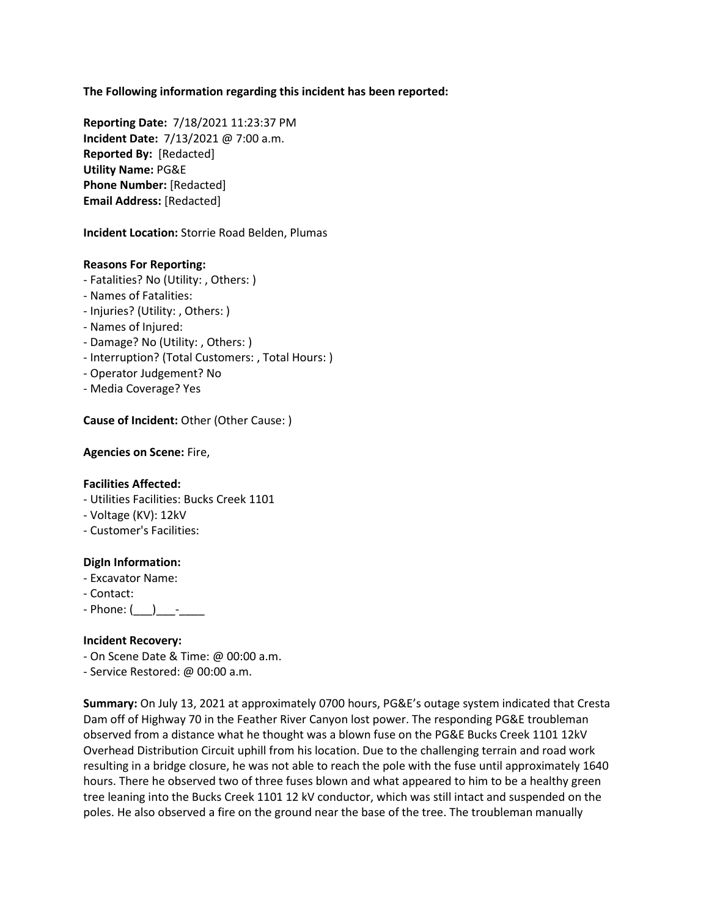**The Following information regarding this incident has been reported:**

**Reporting Date:** 7/18/2021 11:23:37 PM **Incident Date:** 7/13/2021 @ 7:00 a.m. **Reported By:** [Redacted] **Utility Name:** PG&E **Phone Number:** [Redacted] **Email Address:** [Redacted]

**Incident Location:** Storrie Road Belden, Plumas

## **Reasons For Reporting:**

- Fatalities? No (Utility: , Others: )
- Names of Fatalities:
- Injuries? (Utility: , Others: )
- Names of Injured:
- Damage? No (Utility: , Others: )
- Interruption? (Total Customers: , Total Hours: )
- Operator Judgement? No
- Media Coverage? Yes

**Cause of Incident: Other (Other Cause: )** 

**Agencies on Scene:** Fire,

## **Facilities Affected:**

- Utilities Facilities: Bucks Creek 1101
- Voltage (KV): 12kV
- Customer's Facilities:

## **DigIn Information:**

- Excavator Name:
- Contact:
- $-$  Phone:  $(\_\_)$   $\_\_$

## **Incident Recovery:**

- On Scene Date & Time: @ 00:00 a.m.
- Service Restored: @ 00:00 a.m.

**Summary:** On July 13, 2021 at approximately 0700 hours, PG&E's outage system indicated that Cresta Dam off of Highway 70 in the Feather River Canyon lost power. The responding PG&E troubleman observed from a distance what he thought was a blown fuse on the PG&E Bucks Creek 1101 12kV Overhead Distribution Circuit uphill from his location. Due to the challenging terrain and road work resulting in a bridge closure, he was not able to reach the pole with the fuse until approximately 1640 hours. There he observed two of three fuses blown and what appeared to him to be a healthy green tree leaning into the Bucks Creek 1101 12 kV conductor, which was still intact and suspended on the poles. He also observed a fire on the ground near the base of the tree. The troubleman manually